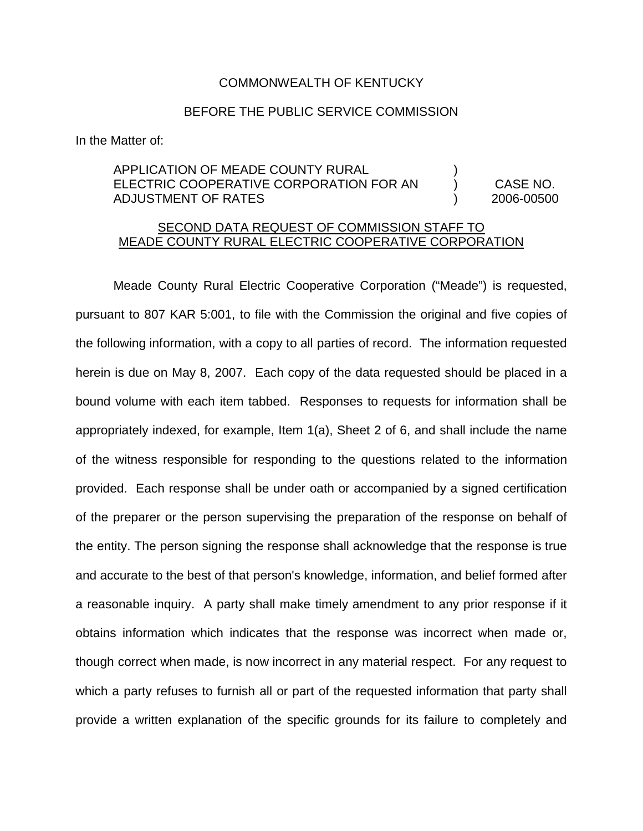#### COMMONWEALTH OF KENTUCKY

### BEFORE THE PUBLIC SERVICE COMMISSION

In the Matter of:

# APPLICATION OF MEADE COUNTY RURAL ELECTRIC COOPERATIVE CORPORATION FOR AN ) CASE NO. ADJUSTMENT OF RATES ) 2006-00500

## SECOND DATA REQUEST OF COMMISSION STAFF TO MEADE COUNTY RURAL ELECTRIC COOPERATIVE CORPORATION

Meade County Rural Electric Cooperative Corporation ("Meade") is requested, pursuant to 807 KAR 5:001, to file with the Commission the original and five copies of the following information, with a copy to all parties of record. The information requested herein is due on May 8, 2007. Each copy of the data requested should be placed in a bound volume with each item tabbed. Responses to requests for information shall be appropriately indexed, for example, Item 1(a), Sheet 2 of 6, and shall include the name of the witness responsible for responding to the questions related to the information provided. Each response shall be under oath or accompanied by a signed certification of the preparer or the person supervising the preparation of the response on behalf of the entity. The person signing the response shall acknowledge that the response is true and accurate to the best of that person's knowledge, information, and belief formed after a reasonable inquiry. A party shall make timely amendment to any prior response if it obtains information which indicates that the response was incorrect when made or, though correct when made, is now incorrect in any material respect. For any request to which a party refuses to furnish all or part of the requested information that party shall provide a written explanation of the specific grounds for its failure to completely and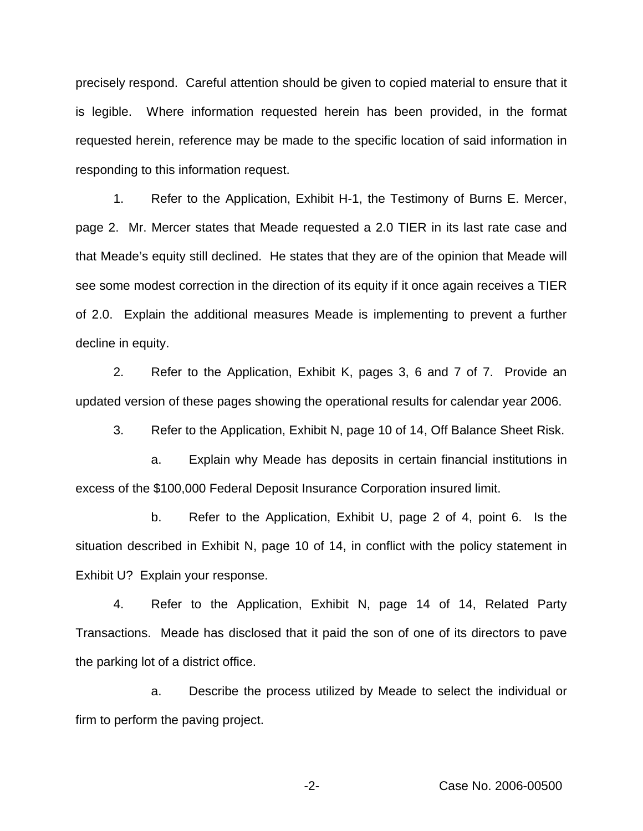precisely respond. Careful attention should be given to copied material to ensure that it is legible. Where information requested herein has been provided, in the format requested herein, reference may be made to the specific location of said information in responding to this information request.

1. Refer to the Application, Exhibit H-1, the Testimony of Burns E. Mercer, page 2. Mr. Mercer states that Meade requested a 2.0 TIER in its last rate case and that Meade's equity still declined. He states that they are of the opinion that Meade will see some modest correction in the direction of its equity if it once again receives a TIER of 2.0. Explain the additional measures Meade is implementing to prevent a further decline in equity.

2. Refer to the Application, Exhibit K, pages 3, 6 and 7 of 7. Provide an updated version of these pages showing the operational results for calendar year 2006.

3. Refer to the Application, Exhibit N, page 10 of 14, Off Balance Sheet Risk.

a. Explain why Meade has deposits in certain financial institutions in excess of the \$100,000 Federal Deposit Insurance Corporation insured limit.

b. Refer to the Application, Exhibit U, page 2 of 4, point 6. Is the situation described in Exhibit N, page 10 of 14, in conflict with the policy statement in Exhibit U? Explain your response.

4. Refer to the Application, Exhibit N, page 14 of 14, Related Party Transactions. Meade has disclosed that it paid the son of one of its directors to pave the parking lot of a district office.

a. Describe the process utilized by Meade to select the individual or firm to perform the paving project.

-2- Case No. 2006-00500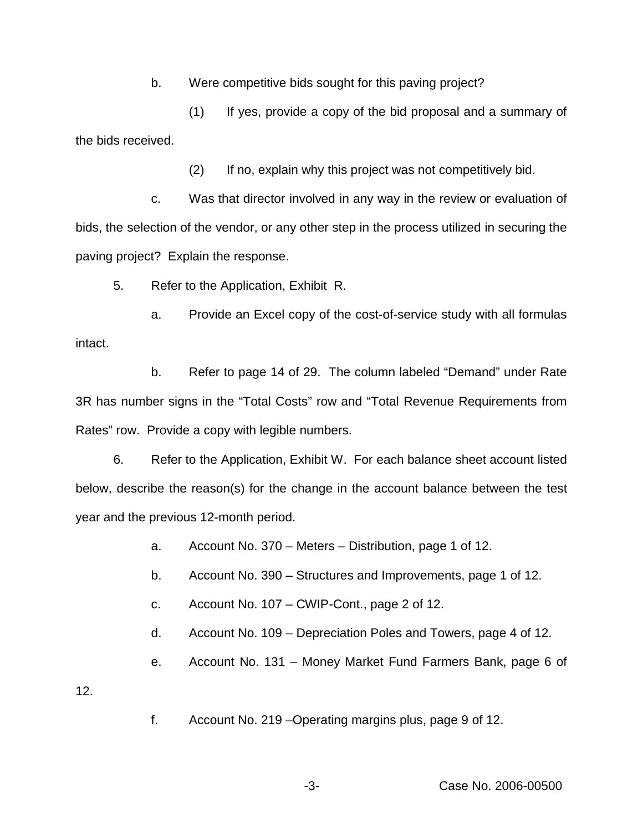b. Were competitive bids sought for this paving project?

(1) If yes, provide a copy of the bid proposal and a summary of the bids received.

(2) If no, explain why this project was not competitively bid.

c. Was that director involved in any way in the review or evaluation of bids, the selection of the vendor, or any other step in the process utilized in securing the paving project? Explain the response.

5. Refer to the Application, Exhibit R.

a. Provide an Excel copy of the cost-of-service study with all formulas intact.

b. Refer to page 14 of 29. The column labeled "Demand" under Rate 3R has number signs in the "Total Costs" row and "Total Revenue Requirements from Rates" row. Provide a copy with legible numbers.

6. Refer to the Application, Exhibit W. For each balance sheet account listed below, describe the reason(s) for the change in the account balance between the test year and the previous 12-month period.

a. Account No. 370 – Meters – Distribution, page 1 of 12.

b. Account No. 390 – Structures and Improvements, page 1 of 12.

- c. Account No. 107 CWIP-Cont., page 2 of 12.
- d. Account No. 109 Depreciation Poles and Towers, page 4 of 12.
- e. Account No. 131 Money Market Fund Farmers Bank, page 6 of

12.

f. Account No. 219 –Operating margins plus, page 9 of 12.

-3- Case No. 2006-00500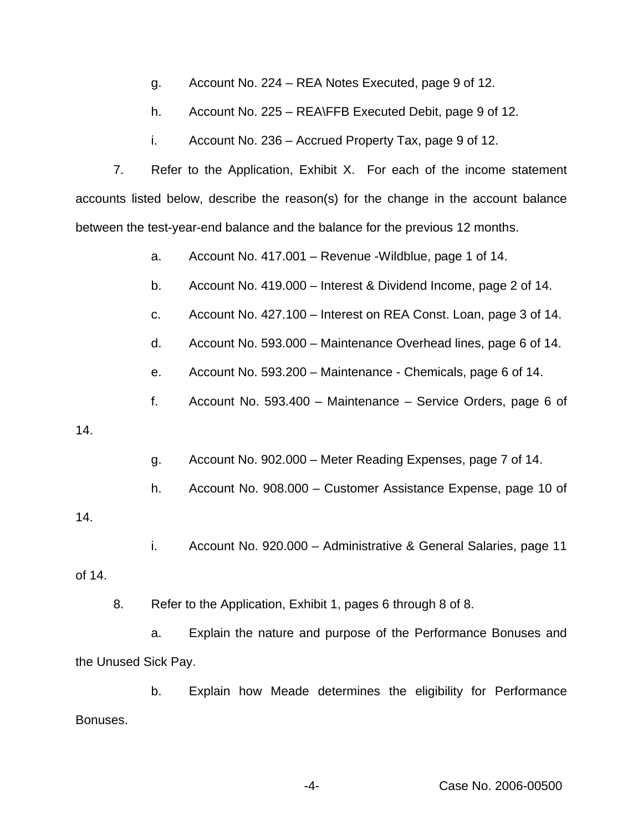- g. Account No. 224 REA Notes Executed, page 9 of 12.
- h. Account No. 225 REA\FFB Executed Debit, page 9 of 12.
- i. Account No. 236 Accrued Property Tax, page 9 of 12.

7. Refer to the Application, Exhibit X. For each of the income statement accounts listed below, describe the reason(s) for the change in the account balance between the test-year-end balance and the balance for the previous 12 months.

a. Account No. 417.001 – Revenue -Wildblue, page 1 of 14.

- b. Account No. 419.000 Interest & Dividend Income, page 2 of 14.
- c. Account No. 427.100 Interest on REA Const. Loan, page 3 of 14.
- d. Account No. 593.000 Maintenance Overhead lines, page 6 of 14.
- e. Account No. 593.200 Maintenance Chemicals, page 6 of 14.
- f. Account No. 593.400 Maintenance Service Orders, page 6 of

### 14.

- g. Account No. 902.000 Meter Reading Expenses, page 7 of 14.
- h. Account No. 908.000 Customer Assistance Expense, page 10 of

## 14.

i. Account No. 920.000 – Administrative & General Salaries, page 11

### of 14.

8. Refer to the Application, Exhibit 1, pages 6 through 8 of 8.

a. Explain the nature and purpose of the Performance Bonuses and the Unused Sick Pay.

b. Explain how Meade determines the eligibility for Performance Bonuses.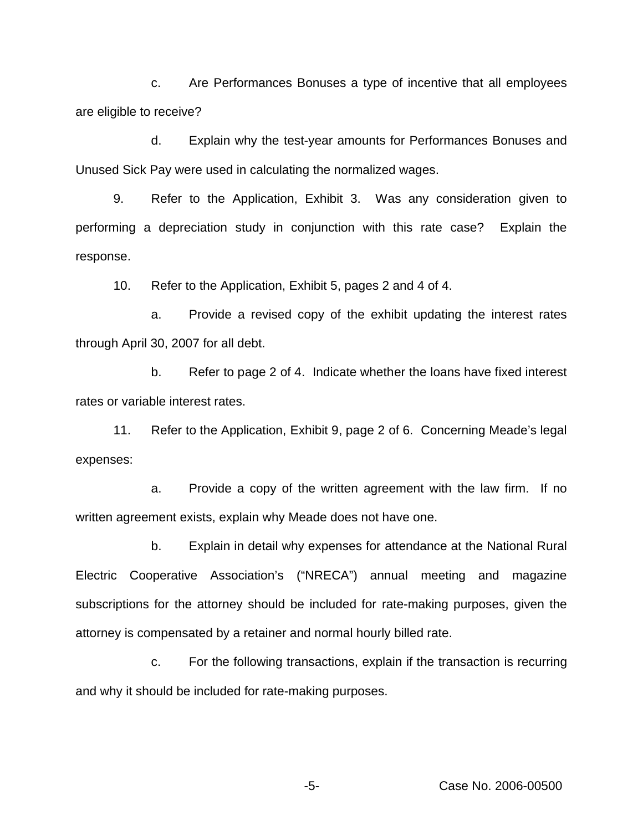c. Are Performances Bonuses a type of incentive that all employees are eligible to receive?

d. Explain why the test-year amounts for Performances Bonuses and Unused Sick Pay were used in calculating the normalized wages.

9. Refer to the Application, Exhibit 3. Was any consideration given to performing a depreciation study in conjunction with this rate case? Explain the response.

10. Refer to the Application, Exhibit 5, pages 2 and 4 of 4.

a. Provide a revised copy of the exhibit updating the interest rates through April 30, 2007 for all debt.

b. Refer to page 2 of 4. Indicate whether the loans have fixed interest rates or variable interest rates.

11. Refer to the Application, Exhibit 9, page 2 of 6. Concerning Meade's legal expenses:

a. Provide a copy of the written agreement with the law firm. If no written agreement exists, explain why Meade does not have one.

b. Explain in detail why expenses for attendance at the National Rural Electric Cooperative Association's ("NRECA") annual meeting and magazine subscriptions for the attorney should be included for rate-making purposes, given the attorney is compensated by a retainer and normal hourly billed rate.

c. For the following transactions, explain if the transaction is recurring and why it should be included for rate-making purposes.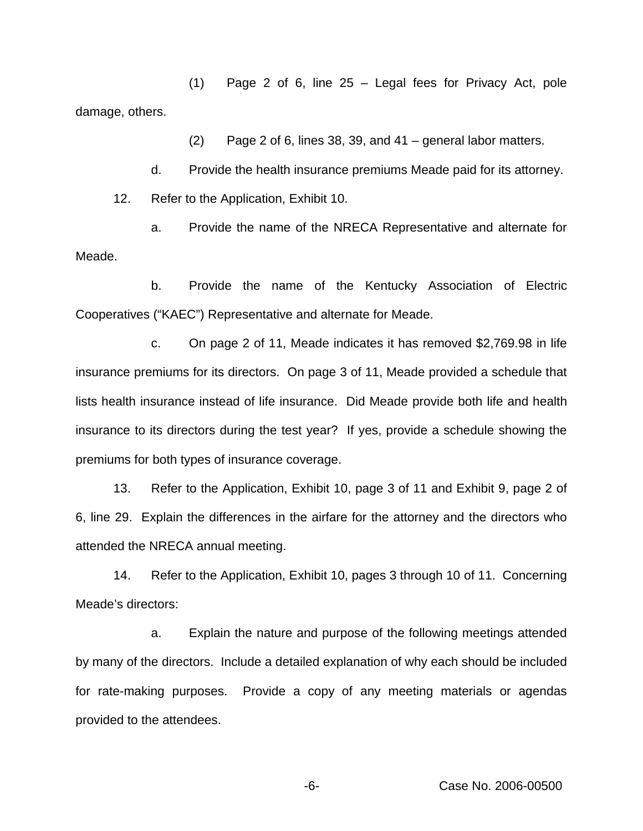(1) Page 2 of 6, line 25 – Legal fees for Privacy Act, pole damage, others.

(2) Page 2 of 6, lines 38, 39, and 41 – general labor matters.

d. Provide the health insurance premiums Meade paid for its attorney.

12. Refer to the Application, Exhibit 10.

a. Provide the name of the NRECA Representative and alternate for Meade.

b. Provide the name of the Kentucky Association of Electric Cooperatives ("KAEC") Representative and alternate for Meade.

c. On page 2 of 11, Meade indicates it has removed \$2,769.98 in life insurance premiums for its directors. On page 3 of 11, Meade provided a schedule that lists health insurance instead of life insurance. Did Meade provide both life and health insurance to its directors during the test year? If yes, provide a schedule showing the premiums for both types of insurance coverage.

13. Refer to the Application, Exhibit 10, page 3 of 11 and Exhibit 9, page 2 of 6, line 29. Explain the differences in the airfare for the attorney and the directors who attended the NRECA annual meeting.

14. Refer to the Application, Exhibit 10, pages 3 through 10 of 11. Concerning Meade's directors:

a. Explain the nature and purpose of the following meetings attended by many of the directors. Include a detailed explanation of why each should be included for rate-making purposes. Provide a copy of any meeting materials or agendas provided to the attendees.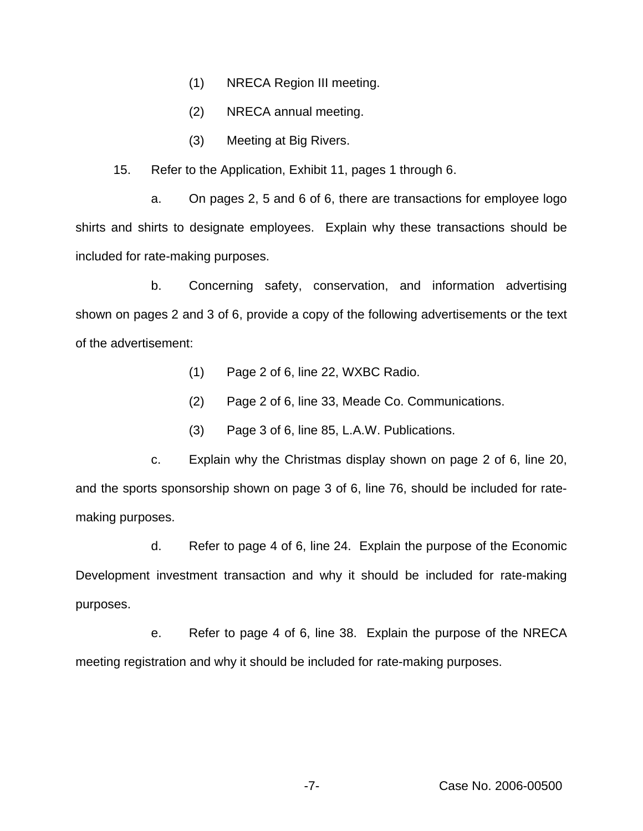- (1) NRECA Region III meeting.
- (2) NRECA annual meeting.
- (3) Meeting at Big Rivers.

15. Refer to the Application, Exhibit 11, pages 1 through 6.

a. On pages 2, 5 and 6 of 6, there are transactions for employee logo shirts and shirts to designate employees. Explain why these transactions should be included for rate-making purposes.

b. Concerning safety, conservation, and information advertising shown on pages 2 and 3 of 6, provide a copy of the following advertisements or the text of the advertisement:

- (1) Page 2 of 6, line 22, WXBC Radio.
- (2) Page 2 of 6, line 33, Meade Co. Communications.
- (3) Page 3 of 6, line 85, L.A.W. Publications.

c. Explain why the Christmas display shown on page 2 of 6, line 20, and the sports sponsorship shown on page 3 of 6, line 76, should be included for ratemaking purposes.

d. Refer to page 4 of 6, line 24. Explain the purpose of the Economic Development investment transaction and why it should be included for rate-making purposes.

e. Refer to page 4 of 6, line 38. Explain the purpose of the NRECA meeting registration and why it should be included for rate-making purposes.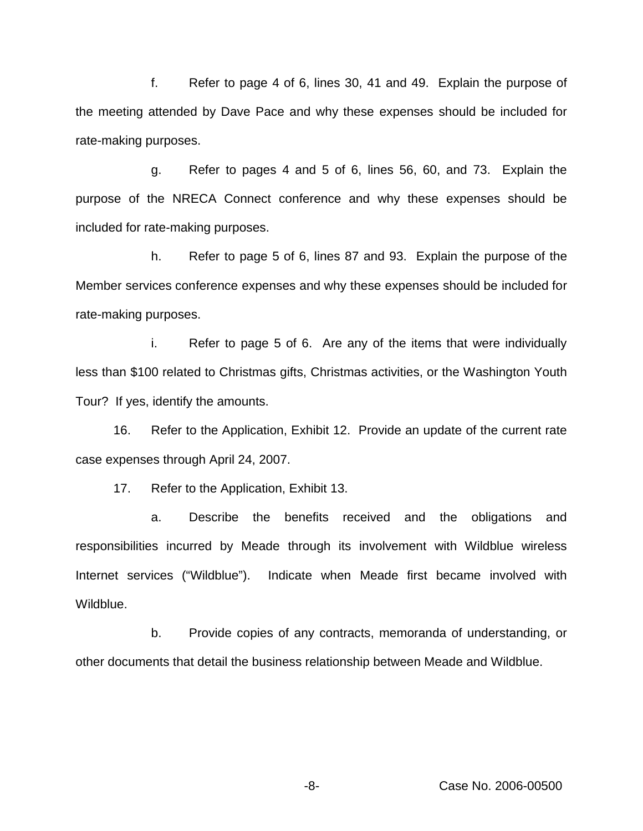f. Refer to page 4 of 6, lines 30, 41 and 49. Explain the purpose of the meeting attended by Dave Pace and why these expenses should be included for rate-making purposes.

g. Refer to pages 4 and 5 of 6, lines 56, 60, and 73. Explain the purpose of the NRECA Connect conference and why these expenses should be included for rate-making purposes.

h. Refer to page 5 of 6, lines 87 and 93. Explain the purpose of the Member services conference expenses and why these expenses should be included for rate-making purposes.

i. Refer to page 5 of 6. Are any of the items that were individually less than \$100 related to Christmas gifts, Christmas activities, or the Washington Youth Tour? If yes, identify the amounts.

16. Refer to the Application, Exhibit 12. Provide an update of the current rate case expenses through April 24, 2007.

17. Refer to the Application, Exhibit 13.

a. Describe the benefits received and the obligations and responsibilities incurred by Meade through its involvement with Wildblue wireless Internet services ("Wildblue"). Indicate when Meade first became involved with Wildblue.

b. Provide copies of any contracts, memoranda of understanding, or other documents that detail the business relationship between Meade and Wildblue.